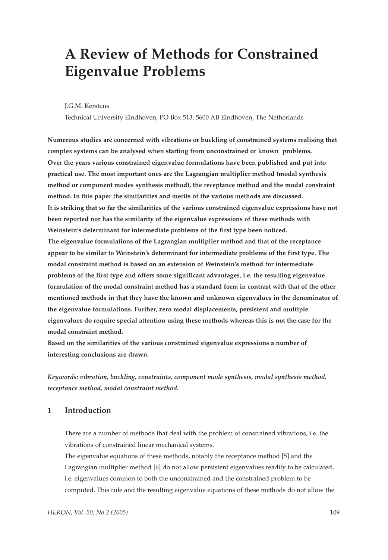# **A Review of Methods for Constrained Eigenvalue Problems**

J.G.M. Kerstens

Technical University Eindhoven, PO Box 513, 5600 AB Eindhoven, The Netherlands

**Numerous studies are concerned with vibrations or buckling of constrained systems realising that complex systems can be analysed when starting from unconstrained or known problems. Over the years various constrained eigenvalue formulations have been published and put into practical use. The most important ones are the Lagrangian multiplier method (modal synthesis method or component modes synthesis method), the receptance method and the modal constraint method. In this paper the similarities and merits of the various methods are discussed. It is striking that so far the similarities of the various constrained eigenvalue expressions have not been reported nor has the similarity of the eigenvalue expressions of these methods with Weinstein's determinant for intermediate problems of the first type been noticed. The eigenvalue formulations of the Lagrangian multiplier method and that of the receptance appear to be similar to Weinstein's determinant for intermediate problems of the first type. The modal constraint method is based on an extension of Weinstein's method for intermediate problems of the first type and offers some significant advantages, i.e. the resulting eigenvalue formulation of the modal constraint method has a standard form in contrast with that of the other mentioned methods in that they have the known and unknown eigenvalues in the denominator of the eigenvalue formulations. Further, zero modal displacements, persistent and multiple eigenvalues do require special attention using these methods whereas this is not the case for the modal constraint method.**

**Based on the similarities of the various constrained eigenvalue expressions a number of interesting conclusions are drawn.**

*Keywords: vibration, buckling, constraints, component mode synthesis, modal synthesis method, receptance method, modal constraint method.*

# **1 Introduction**

There are a number of methods that deal with the problem of constrained vibrations, i.e. the vibrations of constrained linear mechanical systems.

The eigenvalue equations of these methods, notably the receptance method [5] and the Lagrangian multiplier method [6] do not allow persistent eigenvalues readily to be calculated, i.e. eigenvalues common to both the unconstrained and the constrained problem to be computed. This rule and the resulting eigenvalue equations of these methods do not allow the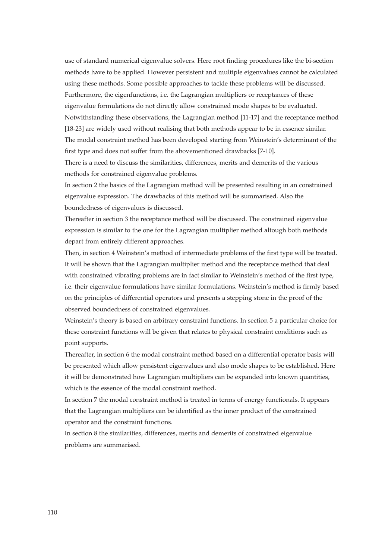use of standard numerical eigenvalue solvers. Here root finding procedures like the bi-section methods have to be applied. However persistent and multiple eigenvalues cannot be calculated using these methods. Some possible approaches to tackle these problems will be discussed. Furthermore, the eigenfunctions, i.e. the Lagrangian multipliers or receptances of these eigenvalue formulations do not directly allow constrained mode shapes to be evaluated. Notwithstanding these observations, the Lagrangian method [11-17] and the receptance method [18-23] are widely used without realising that both methods appear to be in essence similar. The modal constraint method has been developed starting from Weinstein's determinant of the first type and does not suffer from the abovementioned drawbacks [7-10].

There is a need to discuss the similarities, differences, merits and demerits of the various methods for constrained eigenvalue problems.

In section 2 the basics of the Lagrangian method will be presented resulting in an constrained eigenvalue expression. The drawbacks of this method will be summarised. Also the boundedness of eigenvalues is discussed.

Thereafter in section 3 the receptance method will be discussed. The constrained eigenvalue expression is similar to the one for the Lagrangian multiplier method altough both methods depart from entirely different approaches.

Then, in section 4 Weinstein's method of intermediate problems of the first type will be treated. It will be shown that the Lagrangian multiplier method and the receptance method that deal with constrained vibrating problems are in fact similar to Weinstein's method of the first type, i.e. their eigenvalue formulations have similar formulations. Weinstein's method is firmly based on the principles of differential operators and presents a stepping stone in the proof of the observed boundedness of constrained eigenvalues.

Weinstein's theory is based on arbitrary constraint functions. In section 5 a particular choice for these constraint functions will be given that relates to physical constraint conditions such as point supports.

Thereafter, in section 6 the modal constraint method based on a differential operator basis will be presented which allow persistent eigenvalues and also mode shapes to be established. Here it will be demonstrated how Lagrangian multipliers can be expanded into known quantities, which is the essence of the modal constraint method.

In section 7 the modal constraint method is treated in terms of energy functionals. It appears that the Lagrangian multipliers can be identified as the inner product of the constrained operator and the constraint functions.

In section 8 the similarities, differences, merits and demerits of constrained eigenvalue problems are summarised.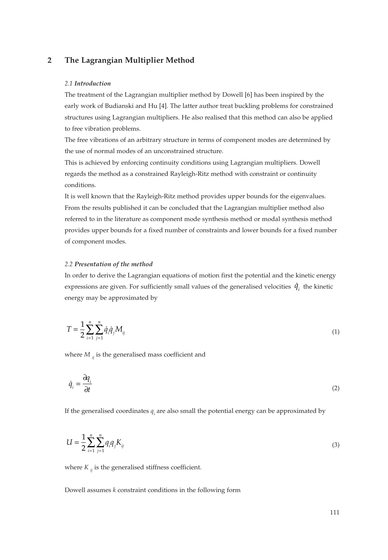## **2 The Lagrangian Multiplier Method**

#### *2.1 Introduction*

The treatment of the Lagrangian multiplier method by Dowell [6] has been inspired by the early work of Budianski and Hu [4]. The latter author treat buckling problems for constrained structures using Lagrangian multipliers. He also realised that this method can also be applied to free vibration problems.

The free vibrations of an arbitrary structure in terms of component modes are determined by the use of normal modes of an unconstrained structure.

This is achieved by enforcing continuity conditions using Lagrangian multipliers. Dowell regards the method as a constrained Rayleigh-Ritz method with constraint or continuity conditions.

It is well known that the Rayleigh-Ritz method provides upper bounds for the eigenvalues. From the results published it can be concluded that the Lagrangian multiplier method also referred to in the literature as component mode synthesis method or modal synthesis method provides upper bounds for a fixed number of constraints and lower bounds for a fixed number of component modes.

#### *2.2 Presentation of the method*

In order to derive the Lagrangian equations of motion first the potential and the kinetic energy expressions are given. For sufficiently small values of the generalised velocities  $\dot{q}_i$  the kinetic energy may be approximated by

$$
T = \frac{1}{2} \sum_{i=1}^{n} \sum_{j=1}^{n} \dot{q}_i \dot{q}_j M_{ij} \tag{1}
$$

where  $M_{ij}$  is the generalised mass coefficient and

$$
\dot{q}_i = \frac{\partial q_i}{\partial t} \tag{2}
$$

If the generalised coordinates  $q_i$  are also small the potential energy can be approximated by

$$
U = \frac{1}{2} \sum_{i=1}^{n} \sum_{j=1}^{n} q_i q_j K_{ij}
$$
 (3)

where  $K_{ij}$  is the generalised stiffness coefficient.

Dowell assumes *k* constraint conditions in the following form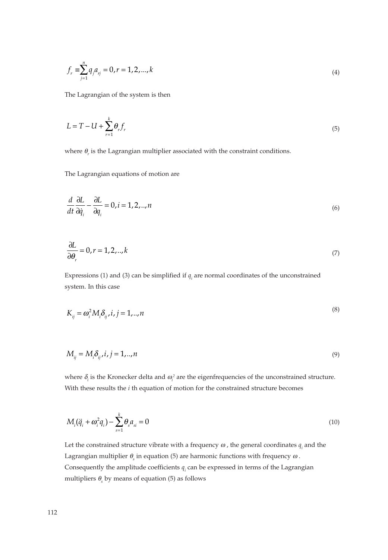$$
f_r \equiv \sum_{j=1}^{n} q_j a_{rj} = 0, r = 1, 2, ..., k
$$
\n(4)

The Lagrangian of the system is then

$$
L = T - U + \sum_{r=1}^{k} \theta_r f_r
$$
 (5)

where  $\theta_r$  is the Lagrangian multiplier associated with the constraint conditions.

The Lagrangian equations of motion are

$$
\frac{d}{dt}\frac{\partial L}{\partial \dot{q}_i} - \frac{\partial L}{\partial q_i} = 0, i = 1, 2, ..., n
$$
\n(6)

$$
\frac{\partial L}{\partial \theta_r} = 0, r = 1, 2, \dots, k \tag{7}
$$

Expressions (1) and (3) can be simplified if  $q_i$  are normal coordinates of the unconstrained system. In this case

$$
K_{ij} = \omega_i^2 M_i \delta_{ij}, i, j = 1, \dots, n
$$
\n<sup>(8)</sup>

$$
M_{ij} = M_i \delta_{ij}, i, j = 1, \dots, n
$$
\n<sup>(9)</sup>

where  $\delta_i$  is the Kronecker delta and  $\omega_i^2$  are the eigenfrequencies of the unconstrained structure. With these results the *i* th equation of motion for the constrained structure becomes

$$
M_i(\ddot{q}_i + \omega_i^2 q_i) - \sum_{s=1}^k \theta_s a_{si} = 0
$$
\n(10)

Let the constrained structure vibrate with a frequency  $\omega$ , the general coordinates  $q_i$  and the Lagrangian multiplier θ*<sup>s</sup>* in equation (5) are harmonic functions with frequency <sup>ω</sup> . Consequently the amplitude coefficients  $q_i$  can be expressed in terms of the Lagrangian multipliers  $\theta_s$  by means of equation (5) as follows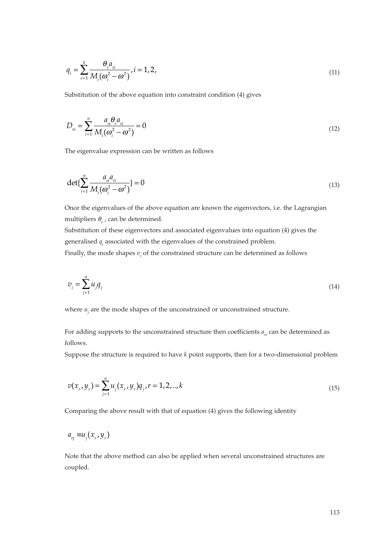$$
q_i = \sum_{s=1}^{k} \frac{\theta_s a_{si}}{M_i(\omega_i^2 - \omega^2)}, i = 1, 2,
$$
\n(11)

Substitution of the above equation into constraint condition (4) gives

$$
D_{rs} = \sum_{i=1}^{n} \frac{a_{si} \theta_{r} a_{ri}}{M_{i} (\omega_{i}^{2} - \omega^{2})} = 0
$$
\n(12)

The eigenvalue expression can be written as follows

$$
\det\{\sum_{i=1}^{n} \frac{a_{si} a_{ri}}{M_i(\omega_i^2 - \omega^2)}\} = 0
$$
\n(13)

Once the eigenvalues of the above equation are known the eigenvectors, i.e. the Lagrangian multipliers  $\theta_{s}$ , can be determined.

Substitution of these eigenvectors and associated eigenvalues into equation (4) gives the generalised *qi* associated with the eigenvalues of the constrained problem.

Finally, the mode shapes  $v_i$  of the constrained structure can be determined as follows

$$
v_i = \sum_{j=1}^n u_j q_j \tag{14}
$$

where  $u_i$  are the mode shapes of the unconstrained or unconstrained structure.

For adding supports to the unconstrained structure then coefficients  $a_{ri}$  can be determined as follows.

Suppose the structure is required to have *k* point supports, then for a two-dimensional problem

$$
v(x_r, y_r) = \sum_{j=1}^{n} u_j(x_r, y_r) q_j, r = 1, 2, ..., k
$$
\n(15)

Comparing the above result with that of equation (4) gives the following identity

$$
a_{rj} \equiv u_j(x_r, y_r)
$$

Note that the above method can also be applied when several unconstrained structures are coupled.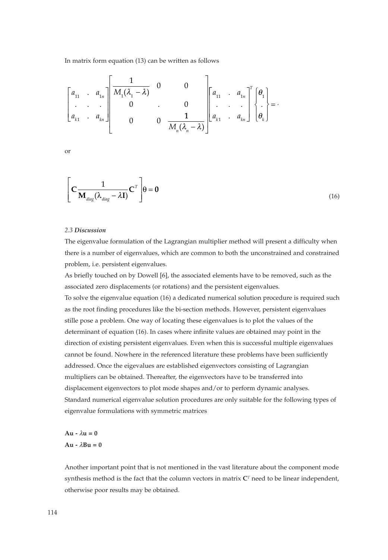In matrix form equation (13) can be written as follows

$$
\begin{bmatrix} a_{11} & a_{1n} \\ \vdots & \vdots \\ a_{k1} & a_{kn} \end{bmatrix} \begin{bmatrix} 1 & 0 & 0 \\ M_1(\lambda_1 - \lambda) & 0 & 0 \\ 0 & \vdots & 0 \\ 0 & 0 & \frac{1}{M_n(\lambda_n - \lambda)} \end{bmatrix} \begin{bmatrix} a_{11} & a_{1n} \\ \vdots & \vdots \\ a_{k1} & a_{kn} \end{bmatrix}^T \begin{bmatrix} \theta_1 \\ \vdots \\ \theta_k \end{bmatrix} = 0
$$

or

$$
\left[\mathbf{C}\frac{1}{\mathbf{M}_{diag}(\lambda_{diag}-\lambda\mathbf{I})}\mathbf{C}^{T}\right]\boldsymbol{\theta}=\mathbf{0}
$$
\n(16)

#### *2.3 Discussion*

The eigenvalue formulation of the Lagrangian multiplier method will present a difficulty when there is a number of eigenvalues, which are common to both the unconstrained and constrained problem, i.e. persistent eigenvalues.

As briefly touched on by Dowell [6], the associated elements have to be removed, such as the associated zero displacements (or rotations) and the persistent eigenvalues.

To solve the eigenvalue equation (16) a dedicated numerical solution procedure is required such as the root finding procedures like the bi-section methods. However, persistent eigenvalues stille pose a problem. One way of locating these eigenvalues is to plot the values of the determinant of equation (16). In cases where infinite values are obtained may point in the direction of existing persistent eigenvalues. Even when this is successful multiple eigenvalues cannot be found. Nowhere in the referenced literature these problems have been sufficiently addressed. Once the eigevalues are established eigenvectors consisting of Lagrangian multipliers can be obtained. Thereafter, the eigenvectors have to be transferred into displacement eigenvectors to plot mode shapes and/or to perform dynamic analyses. Standard numerical eigenvalue solution procedures are only suitable for the following types of eigenvalue formulations with symmetric matrices

 $Au - \lambda u = 0$  $Au - \lambda Bu = 0$ 

Another important point that is not mentioned in the vast literature about the component mode synthesis method is the fact that the column vectors in matrix **C***<sup>T</sup>* need to be linear independent, otherwise poor results may be obtained.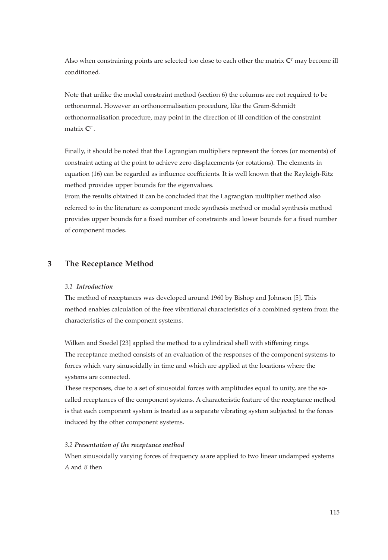Also when constraining points are selected too close to each other the matrix  $C<sup>T</sup>$  may become ill conditioned.

Note that unlike the modal constraint method (section 6) the columns are not required to be orthonormal. However an orthonormalisation procedure, like the Gram-Schmidt orthonormalisation procedure, may point in the direction of ill condition of the constraint matrix **C***<sup>T</sup>* .

Finally, it should be noted that the Lagrangian multipliers represent the forces (or moments) of constraint acting at the point to achieve zero displacements (or rotations). The elements in equation (16) can be regarded as influence coefficients. It is well known that the Rayleigh-Ritz method provides upper bounds for the eigenvalues.

From the results obtained it can be concluded that the Lagrangian multiplier method also referred to in the literature as component mode synthesis method or modal synthesis method provides upper bounds for a fixed number of constraints and lower bounds for a fixed number of component modes.

# **3 The Receptance Method**

#### *3.1 Introduction*

The method of receptances was developed around 1960 by Bishop and Johnson [5]. This method enables calculation of the free vibrational characteristics of a combined system from the characteristics of the component systems.

Wilken and Soedel [23] applied the method to a cylindrical shell with stiffening rings. The receptance method consists of an evaluation of the responses of the component systems to forces which vary sinusoidally in time and which are applied at the locations where the systems are connected.

These responses, due to a set of sinusoidal forces with amplitudes equal to unity, are the socalled receptances of the component systems. A characteristic feature of the receptance method is that each component system is treated as a separate vibrating system subjected to the forces induced by the other component systems.

#### *3.2 Presentation of the receptance method*

When sinusoidally varying forces of frequency  $\omega$  are applied to two linear undamped systems *A* and *B* then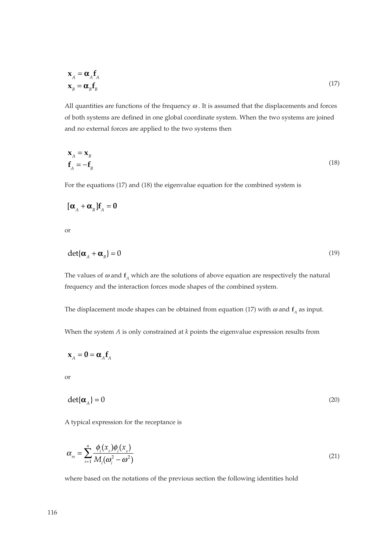$$
\mathbf{x}_{A} = \mathbf{\alpha}_{A} \mathbf{f}_{A} \n\mathbf{x}_{B} = \mathbf{\alpha}_{B} \mathbf{f}_{B}
$$
\n(17)

All quantities are functions of the frequency  $\omega$ . It is assumed that the displacements and forces of both systems are defined in one global coordinate system. When the two systems are joined and no external forces are applied to the two systems then

$$
\mathbf{x}_A = \mathbf{x}_B
$$
  

$$
\mathbf{f}_A = -\mathbf{f}_B
$$
 (18)

For the equations (17) and (18) the eigenvalue equation for the combined system is

$$
[\boldsymbol{\alpha}_A + \boldsymbol{\alpha}_B] \mathbf{f}_A = \mathbf{0}
$$

or

$$
\det{\{\boldsymbol{\alpha}_A + \boldsymbol{\alpha}_B\}} = 0
$$
\n(19)

The values of  $\omega$  and  $f$ <sup>*A*</sup> which are the solutions of above equation are respectively the natural frequency and the interaction forces mode shapes of the combined system.

The displacement mode shapes can be obtained from equation (17) with  $\omega$  and  $f_A$  as input.

When the system *A* is only constrained at *k* points the eigenvalue expression results from

$$
\mathbf{x}_A = \mathbf{0} = \mathbf{\alpha}_A \mathbf{f}_A
$$

or

$$
\det\{\boldsymbol{\alpha}_A\} = 0\tag{20}
$$

A typical expression for the receptance is

$$
\alpha_{rs} = \sum_{i=1}^{n} \frac{\phi_i(x_r)\phi_i(x_s)}{M_i(\omega_i^2 - \omega^2)}
$$
\n(21)

where based on the notations of the previous section the following identities hold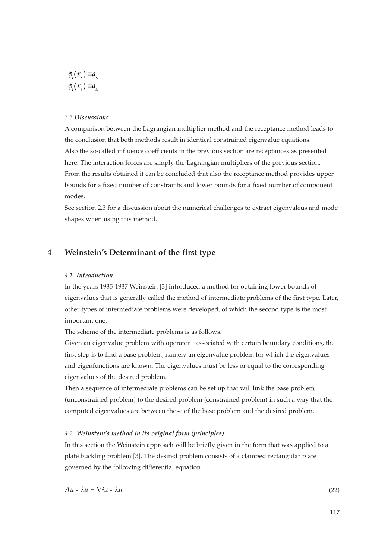$$
\phi_i(x_r) \equiv a_{ni}
$$
  

$$
\phi_i(x_s) \equiv a_{si}
$$

#### *3.3 Discussions*

A comparison between the Lagrangian multiplier method and the receptance method leads to the conclusion that both methods result in identical constrained eigenvalue equations. Also the so-called influence coefficients in the previous section are receptances as presented here. The interaction forces are simply the Lagrangian multipliers of the previous section. From the results obtained it can be concluded that also the receptance method provides upper bounds for a fixed number of constraints and lower bounds for a fixed number of component modes.

See section 2.3 for a discussion about the numerical challenges to extract eigenvaleus and mode shapes when using this method.

# **4 Weinstein's Determinant of the first type**

### *4.1 Introduction*

In the years 1935-1937 Weinstein [3] introduced a method for obtaining lower bounds of eigenvalues that is generally called the method of intermediate problems of the first type. Later, other types of intermediate problems were developed, of which the second type is the most important one.

The scheme of the intermediate problems is as follows.

Given an eigenvalue problem with operator associated with certain boundary conditions, the first step is to find a base problem, namely an eigenvalue problem for which the eigenvalues and eigenfunctions are known. The eigenvalues must be less or equal to the corresponding eigenvalues of the desired problem.

Then a sequence of intermediate problems can be set up that will link the base problem (unconstrained problem) to the desired problem (constrained problem) in such a way that the computed eigenvalues are between those of the base problem and the desired problem.

#### *4.2 Weinstein's method in its original form (principles)*

In this section the Weinstein approach will be briefly given in the form that was applied to a plate buckling problem [3]. The desired problem consists of a clamped rectangular plate governed by the following differential equation

 $Au - \lambda u = \nabla^2 u - \lambda u$  (22)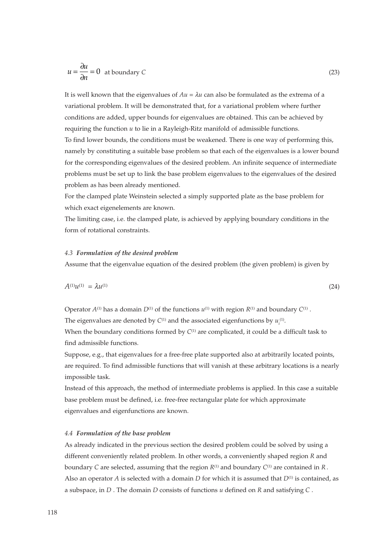$$
u = \frac{\partial u}{\partial n} = 0 \text{ at boundary } C
$$
 (23)

It is well known that the eigenvalues of  $Au = \lambda u$  can also be formulated as the extrema of a variational problem. It will be demonstrated that, for a variational problem where further conditions are added, upper bounds for eigenvalues are obtained. This can be achieved by requiring the function *u* to lie in a Rayleigh-Ritz manifold of admissible functions. To find lower bounds, the conditions must be weakened. There is one way of performing this, namely by constituting a suitable base problem so that each of the eigenvalues is a lower bound for the corresponding eigenvalues of the desired problem. An infinite sequence of intermediate problems must be set up to link the base problem eigenvalues to the eigenvalues of the desired problem as has been already mentioned.

For the clamped plate Weinstein selected a simply supported plate as the base problem for which exact eigenelements are known.

The limiting case, i.e. the clamped plate, is achieved by applying boundary conditions in the form of rotational constraints.

#### *4.3 Formulation of the desired problem*

Assume that the eigenvalue equation of the desired problem (the given problem) is given by

$$
A^{(1)}u^{(1)} = \lambda u^{(1)} \tag{24}
$$

Operator  $A^{(1)}$  has a domain  $D^{(1)}$  of the functions  $u^{(1)}$  with region  $R^{(1)}$  and boundary  $C^{(1)}$ .

The eigenvalues are denoted by  $C^{(1)}$  and the associated eigenfunctions by  $u_i^{(1)}$ .

When the boundary conditions formed by  $C^{(1)}$  are complicated, it could be a difficult task to find admissible functions.

Suppose, e.g., that eigenvalues for a free-free plate supported also at arbitrarily located points, are required. To find admissible functions that will vanish at these arbitrary locations is a nearly impossible task.

Instead of this approach, the method of intermediate problems is applied. In this case a suitable base problem must be defined, i.e. free-free rectangular plate for which approximate eigenvalues and eigenfunctions are known.

#### *4.4 Formulation of the base problem*

As already indicated in the previous section the desired problem could be solved by using a different conveniently related problem. In other words, a conveniently shaped region *R* and boundary *C* are selected, assuming that the region  $R^{(1)}$  and boundary  $C^{(1)}$  are contained in  $R$ . Also an operator *A* is selected with a domain *D* for which it is assumed that  $D^{(1)}$  is contained, as a subspace, in *D* . The domain *D* consists of functions *u* defined on *R* and satisfying *C* .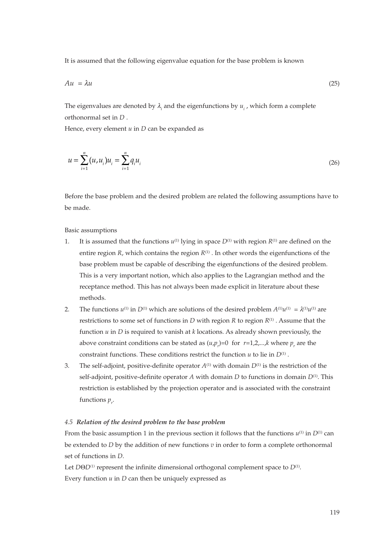It is assumed that the following eigenvalue equation for the base problem is known

$$
Au = \lambda u \tag{25}
$$

The eigenvalues are denoted by  $\lambda_i$  and the eigenfunctions by  $u_i$ , which form a complete orthonormal set in *D* .

Hence, every element *u* in *D* can be expanded as

$$
u = \sum_{i=1}^{n} (u, u_i) u_i = \sum_{i=1}^{n} q_i u_i
$$
\n(26)

Before the base problem and the desired problem are related the following assumptions have to be made.

Basic assumptions

- 1. It is assumed that the functions  $u^{(1)}$  lying in space  $D^{(1)}$  with region  $R^{(1)}$  are defined on the entire region  $R$ , which contains the region  $R^{(1)}$ . In other words the eigenfunctions of the base problem must be capable of describing the eigenfunctions of the desired problem. This is a very important notion, which also applies to the Lagrangian method and the receptance method. This has not always been made explicit in literature about these methods.
- 2. The functions  $u^{(1)}$  in  $D^{(1)}$  which are solutions of the desired problem  $A^{(1)}u^{(1)} = \lambda^{(1)}u^{(1)}$  are restrictions to some set of functions in *D* with region *R* to region *R*(1) . Assume that the function *u* in *D* is required to vanish at *k* locations. As already shown previously, the above constraint conditions can be stated as  $(u, p_r)$ =0 for  $r$ =1,2,...,*k* where  $p_r$  are the constraint functions. These conditions restrict the function  $u$  to lie in  $D^{(1)}$  .
- 3. The self-adjoint, positive-definite operator  $A^{(1)}$  with domain  $D^{(1)}$  is the restriction of the self-adjoint, positive-definite operator *A* with domain *D* to functions in domain *D*(1). This restriction is established by the projection operator and is associated with the constraint functions  $p_r$ .

#### *4.5 Relation of the desired problem to the base problem*

From the basic assumption 1 in the previous section it follows that the functions  $u^{(1)}$  in  $D^{(1)}$  can be extended to *D* by the addition of new functions *v* in order to form a complete orthonormal set of functions in *D*.

Let *D*Θ*D*<sup>(1)</sup> represent the infinite dimensional orthogonal complement space to *D*<sup>(1)</sup>. Every function *u* in *D* can then be uniquely expressed as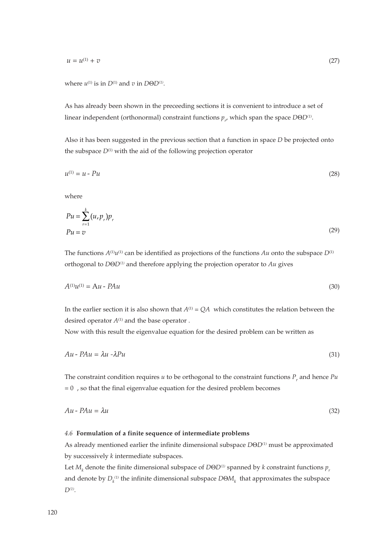$u = u^{(1)} + v$  (27)

where  $u^{(1)}$  is in  $D^{(1)}$  and  $v$  in  $D\Theta D^{(1)}$ .

As has already been shown in the preceeding sections it is convenient to introduce a set of linear independent (orthonormal) constraint functions  $p_{r}$  which span the space *D*Θ*D*<sup>(1)</sup>.

Also it has been suggested in the previous section that a function in space *D* be projected onto the subspace  $D^{(1)}$  with the aid of the following projection operator

$$
u^{(1)} = u - Pu \tag{28}
$$

where

$$
Pu = \sum_{r=1}^{k} (u_r p_r) p_r
$$
  
\n
$$
Pu = v
$$
\n(29)

The functions  $A^{(1)}u^{(1)}$  can be identified as projections of the functions  $Au$  onto the subspace  $D^{(1)}$ orthogonal to *D*Θ*D(1)* and therefore applying the projection operator to *Au* gives

$$
A^{(1)}u^{(1)} = \mathbf{A}u - \mathbf{P}Au \tag{30}
$$

In the earlier section it is also shown that  $A^{(1)} = QA$  which constitutes the relation between the desired operator  $A^{(1)}$  and the base operator .

Now with this result the eigenvalue equation for the desired problem can be written as

$$
Au - PAu = \lambda u - \lambda P u \tag{31}
$$

The constraint condition requires  $u$  to be orthogonal to the constraint functions  $P_r$ , and hence  $Pu$  $= 0$ , so that the final eigenvalue equation for the desired problem becomes

$$
Au - PAu = \lambda u \tag{32}
$$

#### *4.6* **Formulation of a finite sequence of intermediate problems**

As already mentioned earlier the infinite dimensional subspace *D*Θ*D(1)* must be approximated by successively *k* intermediate subspaces.

Let  $M_k$  denote the finite dimensional subspace of  $D\Theta D^{(1)}$  spanned by *k* constraint functions  $p_r$ and denote by  $D_k^{(1)}$  the infinite dimensional subspace  $D\Theta M_k^+$  that approximates the subspace *D(1)*.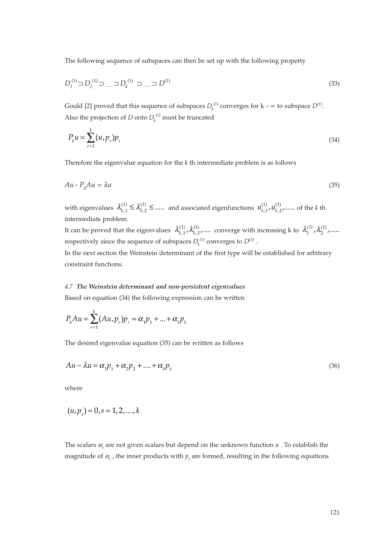The following sequence of subspaces can then be set up with the following property

$$
D_1^{(1)} \supset D_2^{(1)} \supset \dots \supset D_k^{(1)} \supset \dots \supset D^{(1)}
$$
\n(33)

Gould [2] proved that this sequence of subspaces  $D_k^{(1)}$  converges for  $k - \infty$  to subspace  $D^{(1)}$ . Also the projection of *D* onto  $D_k^{(1)}$  must be truncated

$$
P_k u = \sum_{r=1}^k (u, p_r) p_r \tag{34}
$$

Therefore the eigenvalue equation for the *k* th intermediate problem is as follows

$$
Au - P_kAu = \lambda u \tag{35}
$$

with eigenvalues  $\lambda_{k,1}^{(1)} \leq \lambda_{k,2}^{(1)} \leq \dots$  and associated eigenfunctions  $u_{k,1}^{(1)}, u_{k,2}^{(1)}, \dots$  of the *k* th intermediate problem.

It can be proved that the eigenvalues  $\lambda_{k,1}^{(1)}, \lambda_{k,2}^{(1)}, \ldots$  converge with increasing k to  $\lambda_1^{(1)}, \lambda_2^{(1)}, \ldots$ . respectively since the sequence of subspaces  $D_k^{(1)}$  converges to  $D^{(1)}$ .

In the next section the Weinstein determinant of the first type will be established for arbitrary constraint functions.

#### *4.7 The Weinstein determinant and non-persistent eigenvalues*

Based on equation (34) the following expression can be written

$$
P_{k}Au = \sum_{r=1}^{k} (Au_{r}p_{r})p_{r} = \alpha_{1}p_{1} + ... + \alpha_{k}p_{k}
$$

The desired eigenvalue equation (35) can be written as follows

$$
Au - \lambda u = \alpha_1 p_1 + \alpha_2 p_2 + \dots + \alpha_k p_k \tag{36}
$$

where

$$
(u, p_s) = 0, s = 1, 2, \dots, k
$$

The scalars  $\alpha_r$  are not given scalars but depend on the unknown function  $u$ . To establish the magnitude of α<sub>r</sub>, the inner products with  $p_s$  are formed, resulting in the following equations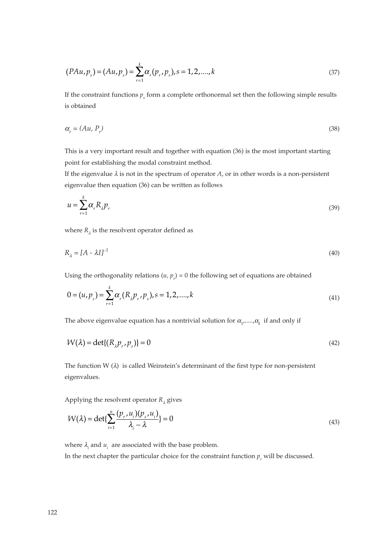$$
(PAu, p_s) = (Au, p_s) = \sum_{r=1}^{k} \alpha_r (p_r, p_s), s = 1, 2, \dots, k
$$
\n(37)

If the constraint functions  $p<sub>s</sub>$  form a complete orthonormal set then the following simple results is obtained

$$
\alpha_r = (Au, P_r) \tag{38}
$$

This is a very important result and together with equation (36) is the most important starting point for establishing the modal constraint method.

If the eigenvalue  $\lambda$  is not in the spectrum of operator  $A$ , or in other words is a non-persistent eigenvalue then equation (36) can be written as follows

$$
u = \sum_{r=1}^{k} \alpha_r R_{\lambda} p_r \tag{39}
$$

where  $R_{\lambda}$  is the resolvent operator defined as

$$
R_{\lambda} = [A - \lambda I]^{-1} \tag{40}
$$

Using the orthogonality relations  $(u, p_s) = 0$  the following set of equations are obtained

$$
0 = (u, p_s) = \sum_{r=1}^{k} \alpha_r (R_{\lambda} p_r, p_s), s = 1, 2, ..., k
$$
\n(41)

The above eigenvalue equation has a nontrivial solution for  $\alpha_{_1},...., \alpha_{_k}$  if and only if

$$
W(\lambda) = \det\{(R_{\lambda}p_{r}, p_{s})\} = 0
$$
\n<sup>(42)</sup>

The function  $W(\lambda)$  is called Weinstein's determinant of the first type for non-persistent eigenvalues.

Applying the resolvent operator  $R_{\lambda}$  gives

$$
W(\lambda) = \det\{\sum_{i=1}^{n} \frac{(p_r, u_i)(p_s, u_i)}{\lambda_i - \lambda}\} = 0
$$
\n(43)

where  $\lambda_i$  and  $u_i$  are associated with the base problem.

In the next chapter the particular choice for the constraint function  $p_r$  will be discussed.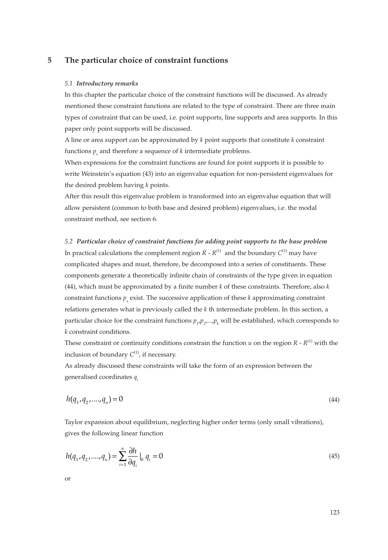## **5 The particular choice of constraint functions**

#### *5.1 Introductory remarks*

In this chapter the particular choice of the constraint functions will be discussed. As already mentioned these constraint functions are related to the type of constraint. There are three main types of constraint that can be used, i.e. point supports, line supports and area supports. In this paper only point supports will be discussed.

A line or area support can be approximated by *k* point supports that constitute *k* constraint functions  $p_{\mu}$  and therefore a sequence of  $k$  intermediate problems.

When expressions for the constraint functions are found for point supports it is possible to write Weinstein's equation (43) into an eigenvalue equation for non-persistent eigenvalues for the desired problem having *k* points.

After this result this eigenvalue problem is transformed into an eigenvalue equation that will allow persistent (common to both base and desired problem) eigenvalues, i.e. the modal constraint method, see section 6.

*5.2 Particular choice of constraint functions for adding point supports to the base problem* In practical calculations the complement region  $R$  -  $R^{(1)}$  and the boundary  $C^{(1)}$  may have complicated shapes and must, therefore, be decomposed into a series of constituents. These components generate a theoretically infinite chain of constraints of the type given in equation (44), which must be approximated by a finite number *k* of these constraints. Therefore, also *k* constraint functions  $p<sub>s</sub>$  exist. The successive application of these  $k$  approximating constraint relations generates what is previously called the *k* th intermediate problem. In this section, a particular choice for the constraint functions  $p_{_{I'}}p_{_{2'}}...,\!p_{_{k}}$  will be established, which corresponds to *k* constraint conditions.

These constraint or continuity conditions constrain the function  $u$  on the region  $R - R^{(1)}$  with the inclusion of boundary  $C^{(1)}$ , if necessary.

As already discussed these constraints will take the form of an expression between the generalised coordinates *qi*

$$
h(q_1, q_2, \dots, q_n) = 0 \tag{44}
$$

Taylor expansion about equilibrium, neglecting higher order terms (only small vibrations), gives the following linear function

$$
h(q_1, q_2, \dots, q_n) = \sum_{i=1}^{n} \frac{\partial h}{\partial q_i} \big|_{0} q_i = 0
$$
\n(45)

or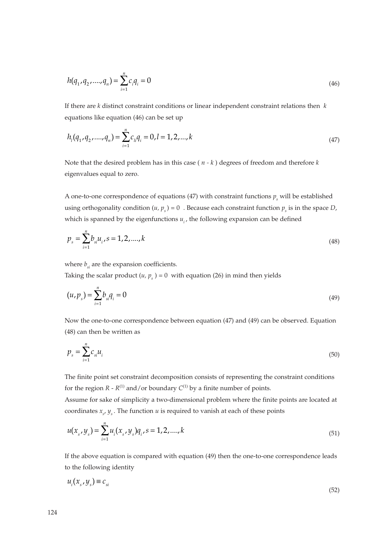$$
h(q_1, q_2, \dots, q_n) = \sum_{i=1}^{n} c_i q_i = 0
$$
\n(46)

If there are *k* distinct constraint conditions or linear independent constraint relations then *k* equations like equation (46) can be set up

$$
h_l(q_1, q_2, \dots, q_n) = \sum_{i=1}^n c_{li} q_i = 0, l = 1, 2, \dots, k
$$
\n(47)

Note that the desired problem has in this case ( *n - k* ) degrees of freedom and therefore *k* eigenvalues equal to zero.

A one-to-one correspondence of equations (47) with constraint functions  $p_s$  will be established using orthogonality condition  $(u, p_s) = 0$ . Because each constraint function  $p_s$  is in the space *D*, which is spanned by the eigenfunctions  $u_i$ , the following expansion can be defined

$$
p_s = \sum_{i=1}^{n} b_{si} u_i, s = 1, 2, \dots, k
$$
\n(48)

where  $b_{si}$  are the expansion coefficients.

Taking the scalar product  $(u, p_s) = 0$  with equation (26) in mind then yields

$$
(u, p_s) = \sum_{i=1}^{n} b_{si} q_i = 0
$$
\n(49)

Now the one-to-one correspondence between equation (47) and (49) can be observed. Equation (48) can then be written as

$$
p_s = \sum_{i=1}^n c_{si} u_i \tag{50}
$$

The finite point set constraint decomposition consists of representing the constraint conditions for the region  $R$  -  $R^{(1)}$  and/or boundary  $C^{(1)}$  by a finite number of points.

Assume for sake of simplicity a two-dimensional problem where the finite points are located at coordinates *xs* , *ys* . The function *u* is required to vanish at each of these points

$$
u(x_s, y_s) = \sum_{i=1}^{n} u_i(x_s, y_s) q_i, s = 1, 2, \dots, k
$$
\n(51)

If the above equation is compared with equation (49) then the one-to-one correspondence leads to the following identity

$$
u_i(x_s, y_s) \equiv c_{si} \tag{52}
$$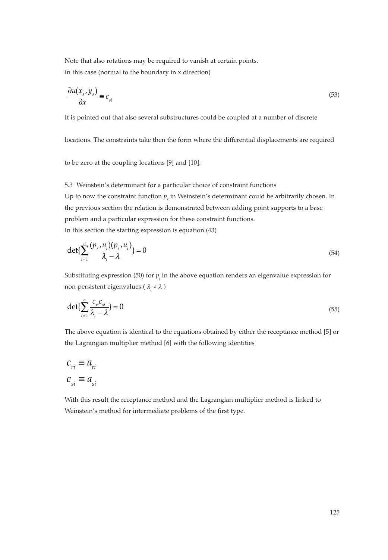Note that also rotations may be required to vanish at certain points. In this case (normal to the boundary in x direction)

$$
\frac{\partial u(x_s, y_s)}{\partial x} \equiv c_{si} \tag{53}
$$

It is pointed out that also several substructures could be coupled at a number of discrete

locations. The constraints take then the form where the differential displacements are required

to be zero at the coupling locations [9] and [10].

5.3 Weinstein's determinant for a particular choice of constraint functions

Up to now the constraint function  $p_r$  in Weinstein's determinant could be arbitrarily chosen. In the previous section the relation is demonstrated between adding point supports to a base problem and a particular expression for these constraint functions. In this section the starting expression is equation (43)

$$
\det\{\sum_{i=1}^{n}\frac{(p_r, u_i)(p_s, u_i)}{\lambda_i - \lambda}\} = 0
$$
\n(54)

Substituting expression (50) for  $p_j$  in the above equation renders an eigenvalue expression for non-persistent eigenvalues ( λ*<sup>i</sup>* ≠ <sup>λ</sup> )

$$
\det\{\sum_{i=1}^{n}\frac{C_{n}C_{si}}{\lambda_{i}-\lambda}\} = 0
$$
\n(55)

The above equation is identical to the equations obtained by either the receptance method [5] or the Lagrangian multiplier method [6] with the following identities

$$
c_{ri} \equiv a_{ri}
$$
  

$$
c_{si} \equiv a_{si}
$$

With this result the receptance method and the Lagrangian multiplier method is linked to Weinstein's method for intermediate problems of the first type.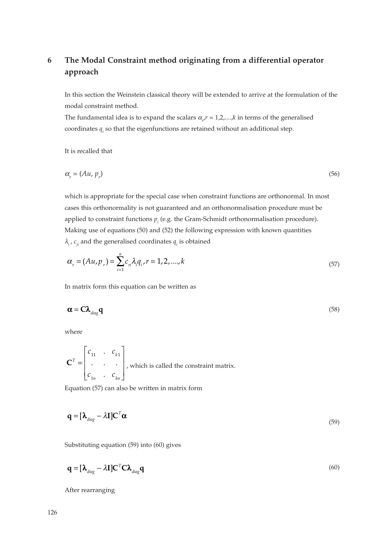# **6 The Modal Constraint method originating from a differential operator approach**

In this section the Weinstein classical theory will be extended to arrive at the formulation of the modal constraint method.

The fundamental idea is to expand the scalars  $\alpha_{r'}$  = 1,2,....,*k* in terms of the generalised coordinates  $q_i$  so that the eigenfunctions are retained without an additional step.

It is recalled that

$$
\alpha_r = (Au, p_r) \tag{56}
$$

which is appropriate for the special case when constraint functions are orthonormal. In most cases this orthonormality is not guaranteed and an orthonormalisation procedure must be applied to constraint functions  $p_i$  (e.g. the Gram-Schmidt orthonormalisation procedure). Making use of equations (50) and (52) the following expression with known quantities  $\lambda_i$ ,  $c_{ii}$  and the generalised coordinates  $q_i$  is obtained

$$
\alpha_r = (Au, p_r) = \sum_{i=1}^n c_{ri} \lambda_i q_i, r = 1, 2, ..., k
$$
\n(57)

In matrix form this equation can be written as

$$
\alpha = C\lambda_{diag}q
$$
 (58)

where

$$
\mathbf{C}^{T} = \begin{bmatrix} c_{11} & \cdots & c_{k1} \\ \vdots & \ddots & \vdots \\ c_{1n} & \cdots & c_{kn} \end{bmatrix}
$$
, which is called the constraint matrix.

Equation (57) can also be written in matrix form

$$
\mathbf{q} = [\mathbf{\lambda}_{diag} - \lambda \mathbf{I}] \mathbf{C}^T \mathbf{\alpha} \tag{59}
$$

Substituting equation (59) into (60) gives

$$
\mathbf{q} = [\mathbf{\lambda}_{diag} - \lambda \mathbf{I}] \mathbf{C}^T \mathbf{C} \mathbf{\lambda}_{diag} \mathbf{q}
$$
 (60)

After rearranging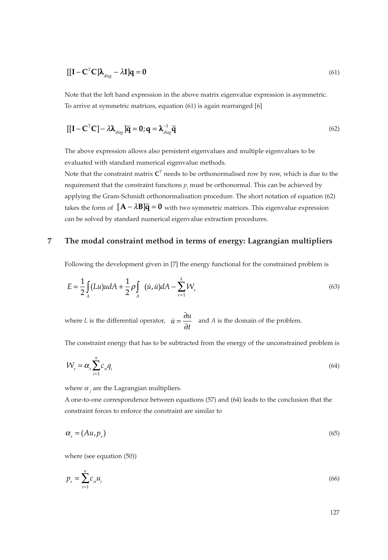$$
[[\mathbf{I} - \mathbf{C}^T \mathbf{C}]\boldsymbol{\lambda}_{\text{diag}} - \lambda \mathbf{I}] \mathbf{q} = \mathbf{0}
$$
\n(61)

Note that the left hand expression in the above matrix eigenvalue expression is asymmetric. To arrive at symmetric matrices, equation (61) is again rearranged [6]

$$
\left[\left[\mathbf{I} - \mathbf{C}^{\mathrm{T}} \mathbf{C}\right] - \lambda \boldsymbol{\lambda}_{\text{diag}}\right] \overline{\mathbf{q}} = \mathbf{0}; \mathbf{q} = \boldsymbol{\lambda}_{\text{diag}}^{-1} \overline{\mathbf{q}} \tag{62}
$$

The above expression allows also persistent eigenvalues and multiple eigenvalues to be evaluated with standard numerical eigenvalue methods.

Note that the constraint matrix  $C<sup>T</sup>$  needs to be orthonormalised row by row, which is due to the requirement that the constraint functions  $p_i$  must be orthonormal. This can be achieved by applying the Gram-Schmidt orthonormalisation procedure. The short notation of equation (62) takes the form of  $[{\bf A}-\lambda{\bf B}]\overline{\bf q}={\bf 0}$  with two symmetric matrices. This eigenvalue expression can be solved by standard numerical eigenvalue extraction procedures.

# **7 The modal constraint method in terms of energy: Lagrangian multipliers**

Following the development given in [7] the energy functional for the constrained problem is

$$
E = \frac{1}{2} \int_{A} (Lu)u dA + \frac{1}{2} \rho \int_{A} (u, \dot{u}) dA - \sum_{r=1}^{k} W_r
$$
 (63)

where *L* is the differential operator,  $\dot{u} = \frac{\partial u}{\partial t}$  and *A* is the domain of the problem.

The constraint energy that has to be subtracted from the energy of the unconstrained problem is

$$
W_r = \alpha_r \sum_{i=1}^n c_n q_i \tag{64}
$$

where  $\alpha$ <sub>*i*</sub> are the Lagrangian multipliers.

A one-to-one correspondence between equations (57) and (64) leads to the conclusion that the constraint forces to enforce the constraint are similar to

$$
\alpha_r = (Au, p_r) \tag{65}
$$

where (see equation (50))

$$
p_r = \sum_{i=1}^n c_n u_i \tag{66}
$$

127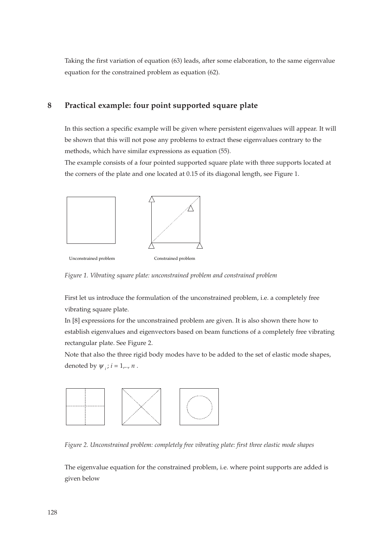Taking the first variation of equation (63) leads, after some elaboration, to the same eigenvalue equation for the constrained problem as equation (62).

# **8 Practical example: four point supported square plate**

In this section a specific example will be given where persistent eigenvalues will appear. It will be shown that this will not pose any problems to extract these eigenvalues contrary to the methods, which have similar expressions as equation (55).

The example consists of a four pointed supported square plate with three supports located at the corners of the plate and one located at 0.15 of its diagonal length, see Figure 1.



Unconstrained problem Constrained problem

*Figure 1. Vibrating square plate: unconstrained problem and constrained problem*

First let us introduce the formulation of the unconstrained problem, i.e. a completely free vibrating square plate.

In [8] expressions for the unconstrained problem are given. It is also shown there how to establish eigenvalues and eigenvectors based on beam functions of a completely free vibrating rectangular plate. See Figure 2.

Note that also the three rigid body modes have to be added to the set of elastic mode shapes, denoted by  $\psi$  *i*;  $i = 1, \dots, n$ .



*Figure 2. Unconstrained problem: completely free vibrating plate: first three elastic mode shapes*

The eigenvalue equation for the constrained problem, i.e. where point supports are added is given below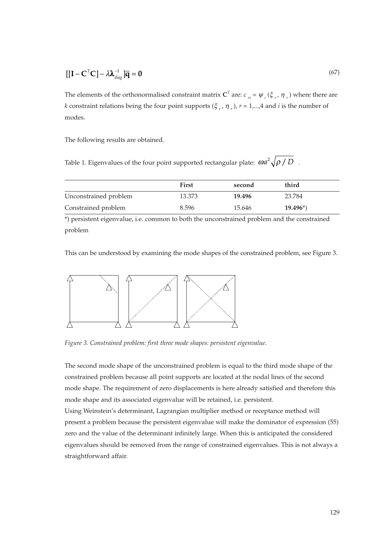$$
\left[\left[\mathbf{I} - \mathbf{C}^T \mathbf{C}\right] - \lambda \lambda_{diag}^{-1} \right] \overline{\mathbf{q}} = \mathbf{0} \tag{67}
$$

The elements of the orthonormalised constraint matrix  $\mathbf{C}^T$  are:  $c_{ri} = \psi_i(\xi_r, \eta_r)$  where there are *k* constraint relations being the four point supports  $(\xi_r, \eta_r)$ ,  $r = 1,...,4$  and *i* is the number of modes.

The following results are obtained.

Table 1. Eigenvalues of the four point supported rectangular plate:  $\omega a^2 \sqrt{\rho\,/\,D}$  .

|                       | First  | second | third      |
|-----------------------|--------|--------|------------|
| Unconstrained problem | 13.373 | 19.496 | 23.784     |
| Constrained problem   | 8.596  | 15.646 | $19.496^*$ |

\*) persistent eigenvalue, i.e. common to both the unconstrained problem and the constrained problem

This can be understood by examining the mode shapes of the constrained problem, see Figure 3.



*Figure 3. Constrained problem: first three mode shapes: persistent eigenvalue.*

The second mode shape of the unconstrained problem is equal to the third mode shape of the constrained problem because all point supports are located at the nodal lines of the second mode shape. The requirement of zero displacements is here already satisfied and therefore this mode shape and its associated eigenvalue will be retained, i.e. persistent.

Using Weinstein's determinant, Lagrangian multiplier method or receptance method will present a problem because the persistent eigenvalue will make the dominator of expression (55) zero and the value of the determinant infinitely large. When this is anticipated the considered eigenvalues should be removed from the range of constrained eigenvalues. This is not always a straightforward affair.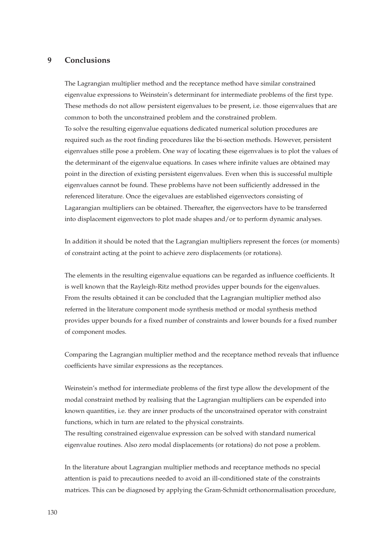## **9 Conclusions**

The Lagrangian multiplier method and the receptance method have similar constrained eigenvalue expressions to Weinstein's determinant for intermediate problems of the first type. These methods do not allow persistent eigenvalues to be present, i.e. those eigenvalues that are common to both the unconstrained problem and the constrained problem. To solve the resulting eigenvalue equations dedicated numerical solution procedures are required such as the root finding procedures like the bi-section methods. However, persistent eigenvalues stille pose a problem. One way of locating these eigenvalues is to plot the values of the determinant of the eigenvalue equations. In cases where infinite values are obtained may point in the direction of existing persistent eigenvalues. Even when this is successful multiple eigenvalues cannot be found. These problems have not been sufficiently addressed in the referenced literature. Once the eigevalues are established eigenvectors consisting of Lagarangian multipliers can be obtained. Thereafter, the eigenvectors have to be transferred into displacement eigenvectors to plot made shapes and/or to perform dynamic analyses.

In addition it should be noted that the Lagrangian multipliers represent the forces (or moments) of constraint acting at the point to achieve zero displacements (or rotations).

The elements in the resulting eigenvalue equations can be regarded as influence coefficients. It is well known that the Rayleigh-Ritz method provides upper bounds for the eigenvalues. From the results obtained it can be concluded that the Lagrangian multiplier method also referred in the literature component mode synthesis method or modal synthesis method provides upper bounds for a fixed number of constraints and lower bounds for a fixed number of component modes.

Comparing the Lagrangian multiplier method and the receptance method reveals that influence coefficients have similar expressions as the receptances.

Weinstein's method for intermediate problems of the first type allow the development of the modal constraint method by realising that the Lagrangian multipliers can be expended into known quantities, i.e. they are inner products of the unconstrained operator with constraint functions, which in turn are related to the physical constraints.

The resulting constrained eigenvalue expression can be solved with standard numerical eigenvalue routines. Also zero modal displacements (or rotations) do not pose a problem.

In the literature about Lagrangian multiplier methods and receptance methods no special attention is paid to precautions needed to avoid an ill-conditioned state of the constraints matrices. This can be diagnosed by applying the Gram-Schmidt orthonormalisation procedure,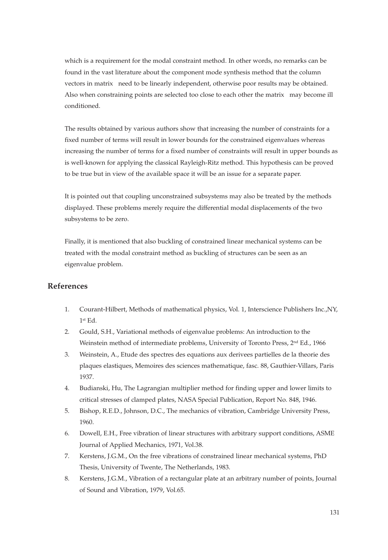which is a requirement for the modal constraint method. In other words, no remarks can be found in the vast literature about the component mode synthesis method that the column vectors in matrix need to be linearly independent, otherwise poor results may be obtained. Also when constraining points are selected too close to each other the matrix may become ill conditioned.

The results obtained by various authors show that increasing the number of constraints for a fixed number of terms will result in lower bounds for the constrained eigenvalues whereas increasing the number of terms for a fixed number of constraints will result in upper bounds as is well-known for applying the classical Rayleigh-Ritz method. This hypothesis can be proved to be true but in view of the available space it will be an issue for a separate paper.

It is pointed out that coupling unconstrained subsystems may also be treated by the methods displayed. These problems merely require the differential modal displacements of the two subsystems to be zero.

Finally, it is mentioned that also buckling of constrained linear mechanical systems can be treated with the modal constraint method as buckling of structures can be seen as an eigenvalue problem.

# **References**

- 1. Courant-Hilbert, Methods of mathematical physics, Vol. 1, Interscience Publishers Inc.,NY, 1st Ed.
- 2. Gould, S.H., Variational methods of eigenvalue problems: An introduction to the Weinstein method of intermediate problems, University of Toronto Press, 2nd Ed., 1966
- 3. Weinstein, A., Etude des spectres des equations aux derivees partielles de la theorie des plaques elastiques, Memoires des sciences mathematique, fasc. 88, Gauthier-Villars, Paris 1937.
- 4. Budianski, Hu, The Lagrangian multiplier method for finding upper and lower limits to critical stresses of clamped plates, NASA Special Publication, Report No. 848, 1946.
- 5. Bishop, R.E.D., Johnson, D.C., The mechanics of vibration, Cambridge University Press, 1960.
- 6. Dowell, E.H., Free vibration of linear structures with arbitrary support conditions, ASME Journal of Applied Mechanics, 1971, Vol.38.
- 7. Kerstens, J.G.M., On the free vibrations of constrained linear mechanical systems, PhD Thesis, University of Twente, The Netherlands, 1983.
- 8. Kerstens, J.G.M., Vibration of a rectangular plate at an arbitrary number of points, Journal of Sound and Vibration, 1979, Vol.65.